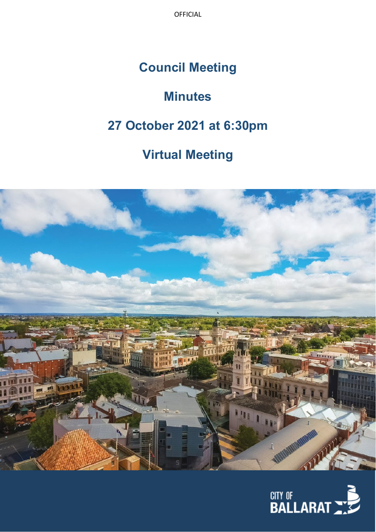OFFICIAL

# **Council Meeting**

# **Minutes**

# **27 October 2021 at 6:30pm**

# **Virtual Meeting**



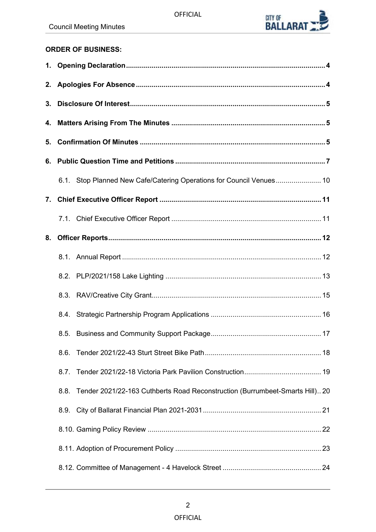

# **ORDER OF BUSINESS:**

| 5. |                                                                                   |  |
|----|-----------------------------------------------------------------------------------|--|
|    |                                                                                   |  |
|    | 6.1. Stop Planned New Cafe/Catering Operations for Council Venues 10              |  |
|    |                                                                                   |  |
|    |                                                                                   |  |
| 8. |                                                                                   |  |
|    |                                                                                   |  |
|    |                                                                                   |  |
|    |                                                                                   |  |
|    |                                                                                   |  |
|    |                                                                                   |  |
|    |                                                                                   |  |
|    | 8.7.                                                                              |  |
|    | 8.8. Tender 2021/22-163 Cuthberts Road Reconstruction (Burrumbeet-Smarts Hill) 20 |  |
|    | 8.9.                                                                              |  |
|    |                                                                                   |  |
|    |                                                                                   |  |
|    |                                                                                   |  |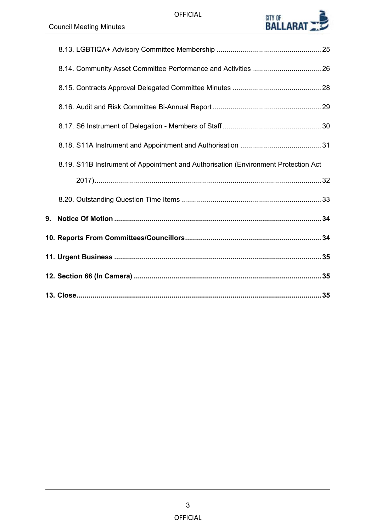

| 8.19. S11B Instrument of Appointment and Authorisation (Environment Protection Act |  |
|------------------------------------------------------------------------------------|--|
|                                                                                    |  |
|                                                                                    |  |
|                                                                                    |  |
|                                                                                    |  |
|                                                                                    |  |
|                                                                                    |  |
|                                                                                    |  |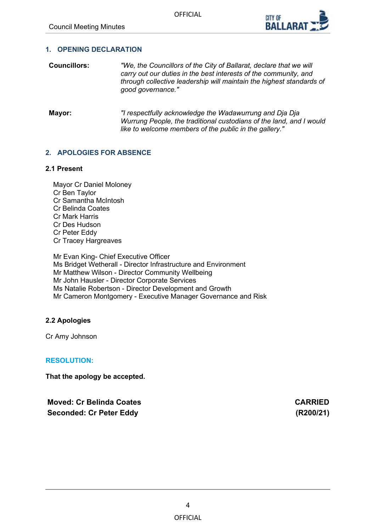

#### <span id="page-3-0"></span>**1. OPENING DECLARATION**

- **Councillors:** *"We, the Councillors of the City of Ballarat, declare that we will carry out our duties in the best interests of the community, and through collective leadership will maintain the highest standards of good governance."*
- **Mayor:** *"I respectfully acknowledge the Wadawurrung and Dja Dja Wurrung People, the traditional custodians of the land, and I would like to welcome members of the public in the gallery."*

#### **2. APOLOGIES FOR ABSENCE**

#### **2.1 Present**

Mayor Cr Daniel Moloney Cr Ben Taylor Cr Samantha McIntosh Cr Belinda Coates Cr Mark Harris Cr Des Hudson Cr Peter Eddy Cr Tracey Hargreaves

Mr Evan King- Chief Executive Officer Ms Bridget Wetherall - Director Infrastructure and Environment Mr Matthew Wilson - Director Community Wellbeing Mr John Hausler - Director Corporate Services Ms Natalie Robertson - Director Development and Growth Mr Cameron Montgomery - Executive Manager Governance and Risk

### **2.2 Apologies**

Cr Amy Johnson

#### **RESOLUTION:**

**That the apology be accepted.**

**Moved: Cr Belinda Coates CARRIED Seconded: Cr Peter Eddy (R200/21)**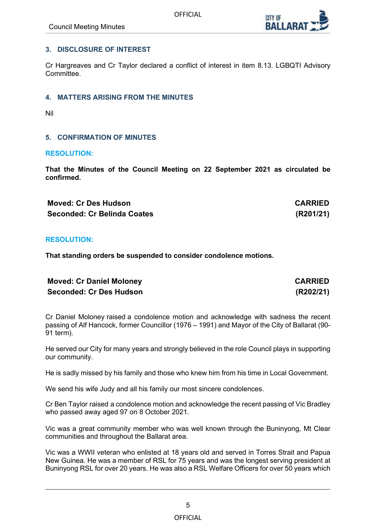# <span id="page-4-0"></span>**3. DISCLOSURE OF INTEREST**

Cr Hargreaves and Cr Taylor declared a conflict of interest in item 8.13. LGBQTI Advisory Committee.

# **4. MATTERS ARISING FROM THE MINUTES**

Nil

# **5. CONFIRMATION OF MINUTES**

#### **RESOLUTION:**

**That the Minutes of the Council Meeting on 22 September 2021 as circulated be confirmed.**

**Moved: Cr Des Hudson CARRIED Seconded: Cr Belinda Coates (R201/21)**

### **RESOLUTION:**

**That standing orders be suspended to consider condolence motions.**

| <b>Moved: Cr Daniel Moloney</b> | <b>CARRIED</b> |
|---------------------------------|----------------|
| <b>Seconded: Cr Des Hudson</b>  | (R202/21)      |

Cr Daniel Moloney raised a condolence motion and acknowledge with sadness the recent passing of Alf Hancock, former Councillor (1976 – 1991) and Mayor of the City of Ballarat (90- 91 term).

He served our City for many years and strongly believed in the role Council plays in supporting our community.

He is sadly missed by his family and those who knew him from his time in Local Government.

We send his wife Judy and all his family our most sincere condolences.

Cr Ben Taylor raised a condolence motion and acknowledge the recent passing of Vic Bradley who passed away aged 97 on 8 October 2021.

Vic was a great community member who was well known through the Buninyong, Mt Clear communities and throughout the Ballarat area.

Vic was a WWII veteran who enlisted at 18 years old and served in Torres Strait and Papua New Guinea. He was a member of RSL for 75 years and was the longest serving president at Buninyong RSL for over 20 years. He was also a RSL Welfare Officers for over 50 years which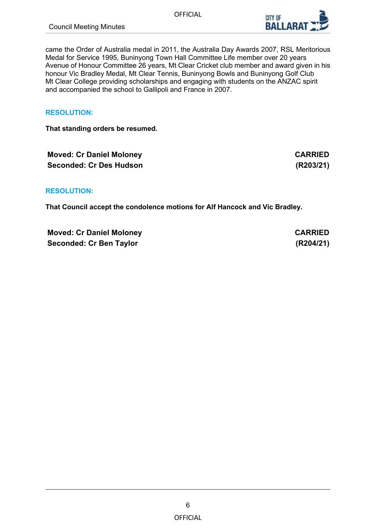

came the Order of Australia medal in 2011, the Australia Day Awards 2007, RSL Meritorious Medal for Service 1995, Buninyong Town Hall Committee Life member over 20 years Avenue of Honour Committee 26 years, Mt Clear Cricket club member and award given in his honour Vic Bradley Medal, Mt Clear Tennis, Buninyong Bowls and Buninyong Golf Club Mt Clear College providing scholarships and engaging with students on the ANZAC spirit and accompanied the school to Gallipoli and France in 2007.

# **RESOLUTION:**

**That standing orders be resumed.**

**Moved: Cr Daniel Moloney <b>CARRIED Seconded: Cr Des Hudson (R203/21)**

**RESOLUTION:**

**That Council accept the condolence motions for Alf Hancock and Vic Bradley.**

**Moved: Cr Daniel Moloney**  CARRIED **Seconded: Cr Ben Taylor (R204/21)**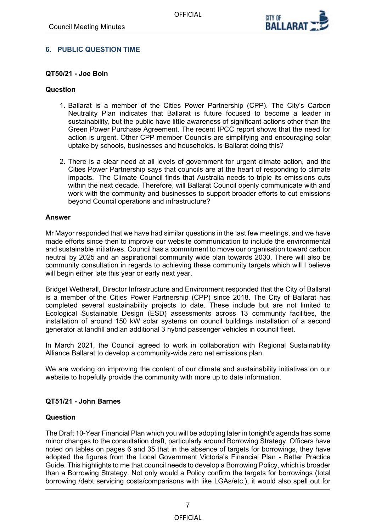

# <span id="page-6-0"></span>**6. PUBLIC QUESTION TIME**

### **QT50/21 - Joe Boin**

#### **Question**

- 1. Ballarat is a member of the Cities Power Partnership (CPP). The City's Carbon Neutrality Plan indicates that Ballarat is future focused to become a leader in sustainability, but the public have little awareness of significant actions other than the Green Power Purchase Agreement. The recent IPCC report shows that the need for action is urgent. Other CPP member Councils are simplifying and encouraging solar uptake by schools, businesses and households. Is Ballarat doing this?
- 2. There is a clear need at all levels of government for urgent climate action, and the Cities Power Partnership says that councils are at the heart of responding to climate impacts. The Climate Council finds that Australia needs to triple its emissions cuts within the next decade. Therefore, will Ballarat Council openly communicate with and work with the community and businesses to support broader efforts to cut emissions beyond Council operations and infrastructure?

#### **Answer**

Mr Mayor responded that we have had similar questions in the last few meetings, and we have made efforts since then to improve our website communication to include the environmental and sustainable initiatives. Council has a commitment to move our organisation toward carbon neutral by 2025 and an aspirational community wide plan towards 2030. There will also be community consultation in regards to achieving these community targets which will I believe will begin either late this year or early next year.

Bridget Wetherall, Director Infrastructure and Environment responded that the City of Ballarat is a member of the Cities Power Partnership (CPP) since 2018. The City of Ballarat has completed several sustainability projects to date. These include but are not limited to Ecological Sustainable Design (ESD) assessments across 13 community facilities, the installation of around 150 kW solar systems on council buildings installation of a second generator at landfill and an additional 3 hybrid passenger vehicles in council fleet.

In March 2021, the Council agreed to work in collaboration with Regional Sustainability Alliance Ballarat to develop a community-wide zero net emissions plan.

We are working on improving the content of our climate and sustainability initiatives on our website to hopefully provide the community with more up to date information.

### **QT51/21 - John Barnes**

### **Question**

The Draft 10-Year Financial Plan which you will be adopting later in tonight's agenda has some minor changes to the consultation draft, particularly around Borrowing Strategy. Officers have noted on tables on pages 6 and 35 that in the absence of targets for borrowings, they have adopted the figures from the Local Government Victoria's Financial Plan - Better Practice Guide. This highlights to me that council needs to develop a Borrowing Policy, which is broader than a Borrowing Strategy. Not only would a Policy confirm the targets for borrowings (total borrowing /debt servicing costs/comparisons with like LGAs/etc.), it would also spell out for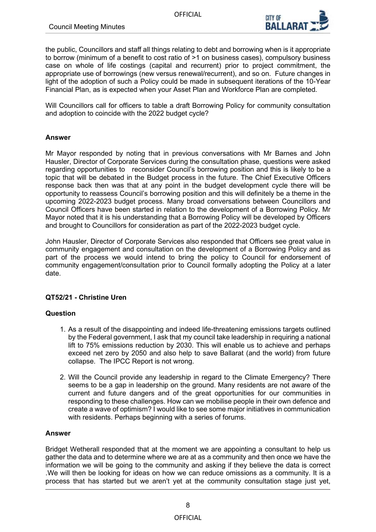

the public, Councillors and staff all things relating to debt and borrowing when is it appropriate to borrow (minimum of a benefit to cost ratio of >1 on business cases), compulsory business case on whole of life costings (capital and recurrent) prior to project commitment, the appropriate use of borrowings (new versus renewal/recurrent), and so on. Future changes in light of the adoption of such a Policy could be made in subsequent iterations of the 10-Year Financial Plan, as is expected when your Asset Plan and Workforce Plan are completed.

Will Councillors call for officers to table a draft Borrowing Policy for community consultation and adoption to coincide with the 2022 budget cycle?

# **Answer**

Mr Mayor responded by noting that in previous conversations with Mr Barnes and John Hausler, Director of Corporate Services during the consultation phase, questions were asked regarding opportunities to reconsider Council's borrowing position and this is likely to be a topic that will be debated in the Budget process in the future. The Chief Executive Officers response back then was that at any point in the budget development cycle there will be opportunity to reassess Council's borrowing position and this will definitely be a theme in the upcoming 2022-2023 budget process. Many broad conversations between Councillors and Council Officers have been started in relation to the development of a Borrowing Policy. Mr Mayor noted that it is his understanding that a Borrowing Policy will be developed by Officers and brought to Councillors for consideration as part of the 2022-2023 budget cycle.

John Hausler, Director of Corporate Services also responded that Officers see great value in community engagement and consultation on the development of a Borrowing Policy and as part of the process we would intend to bring the policy to Council for endorsement of community engagement/consultation prior to Council formally adopting the Policy at a later date.

### **QT52/21 - Christine Uren**

### **Question**

- 1. As a result of the disappointing and indeed life-threatening emissions targets outlined by the Federal government, I ask that my council take leadership in requiring a national lift to 75% emissions reduction by 2030. This will enable us to achieve and perhaps exceed net zero by 2050 and also help to save Ballarat (and the world) from future collapse. The IPCC Report is not wrong.
- 2. Will the Council provide any leadership in regard to the Climate Emergency? There seems to be a gap in leadership on the ground. Many residents are not aware of the current and future dangers and of the great opportunities for our communities in responding to these challenges. How can we mobilise people in their own defence and create a wave of optimism? I would like to see some major initiatives in communication with residents. Perhaps beginning with a series of forums.

#### **Answer**

Bridget Wetherall responded that at the moment we are appointing a consultant to help us gather the data and to determine where we are at as a community and then once we have the information we will be going to the community and asking if they believe the data is correct .We will then be looking for ideas on how we can reduce omissions as a community. It is a process that has started but we aren't yet at the community consultation stage just yet,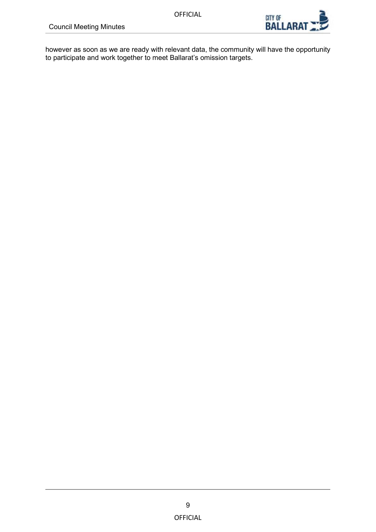

however as soon as we are ready with relevant data, the community will have the opportunity to participate and work together to meet Ballarat's omission targets.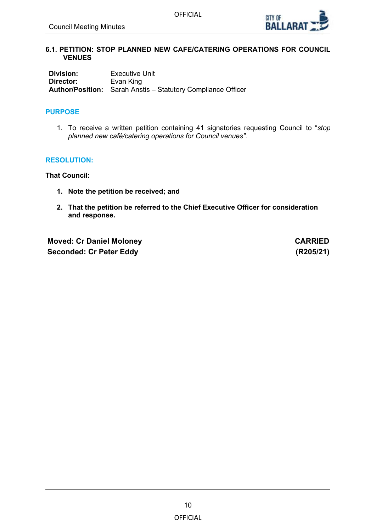

#### <span id="page-9-0"></span>**6.1. PETITION: STOP PLANNED NEW CAFE/CATERING OPERATIONS FOR COUNCIL VENUES**

**Division:** Executive Unit<br> **Director:** Evan King **Evan King Author/Position:** Sarah Anstis – Statutory Compliance Officer

# **PURPOSE**

1. To receive a written petition containing 41 signatories requesting Council to "*stop planned new café/catering operations for Council venues".*

### **RESOLUTION:**

**That Council:**

- **1. Note the petition be received; and**
- **2. That the petition be referred to the Chief Executive Officer for consideration and response.**

**Moved: Cr Daniel Moloney**  CARRIED **Seconded: Cr Peter Eddy (R205/21)**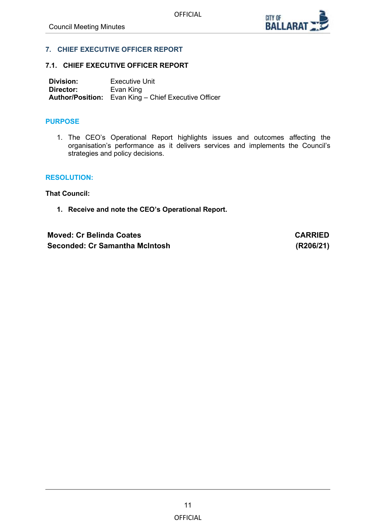

### <span id="page-10-0"></span>**7. CHIEF EXECUTIVE OFFICER REPORT**

#### **7.1. CHIEF EXECUTIVE OFFICER REPORT**

**Division:** Executive Unit<br> **Director:** Evan King **Director:** Evan King **Author/Position:** Evan King – Chief Executive Officer

#### **PURPOSE**

1. The CEO's Operational Report highlights issues and outcomes affecting the organisation's performance as it delivers services and implements the Council's strategies and policy decisions.

#### **RESOLUTION:**

**That Council:**

**1. Receive and note the CEO's Operational Report.**

**Moved: Cr Belinda Coates CARRIED Seconded: Cr Samantha McIntosh (R206/21)**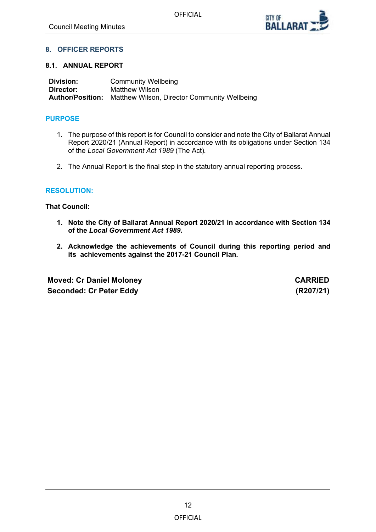

# <span id="page-11-0"></span>**8. OFFICER REPORTS**

#### **8.1. ANNUAL REPORT**

| Division: | <b>Community Wellbeing</b>                                           |
|-----------|----------------------------------------------------------------------|
| Director: | Matthew Wilson                                                       |
|           | <b>Author/Position:</b> Matthew Wilson, Director Community Wellbeing |

# **PURPOSE**

- 1. The purpose of this report is for Council to consider and note the City of Ballarat Annual Report 2020/21 (Annual Report) in accordance with its obligations under Section 134 of the *Local Government Act 1989* (The Act)*.*
- 2. The Annual Report is the final step in the statutory annual reporting process.

### **RESOLUTION:**

**That Council:**

- **1. Note the City of Ballarat Annual Report 2020/21 in accordance with Section 134 of the** *Local Government Act 1989.*
- **2. Acknowledge the achievements of Council during this reporting period and its achievements against the 2017-21 Council Plan.**

**Moved: Cr Daniel Moloney**  CARRIED **Seconded: Cr Peter Eddy (R207/21)**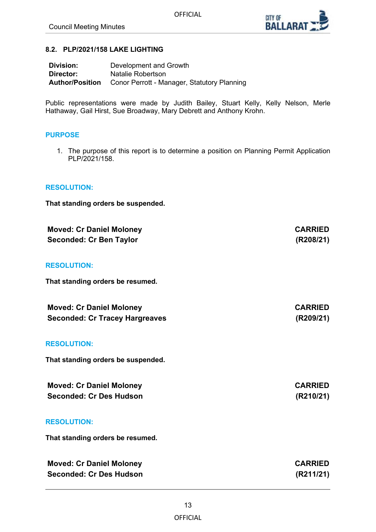

**Seconded: Cr Tracey Hargreaves (R209/21)**

#### <span id="page-12-0"></span>**8.2. PLP/2021/158 LAKE LIGHTING**

| <b>Division:</b> | Development and Growth                                             |
|------------------|--------------------------------------------------------------------|
| Director:        | Natalie Robertson                                                  |
|                  | <b>Author/Position</b> Conor Perrott - Manager, Statutory Planning |

Public representations were made by Judith Bailey, Stuart Kelly, Kelly Nelson, Merle Hathaway, Gail Hirst, Sue Broadway, Mary Debrett and Anthony Krohn.

#### **PURPOSE**

1. The purpose of this report is to determine a position on Planning Permit Application PLP/2021/158.

#### **RESOLUTION:**

**That standing orders be suspended.**

| <b>Moved: Cr Daniel Moloney</b> | <b>CARRIED</b> |
|---------------------------------|----------------|
| <b>Seconded: Cr Ben Taylor</b>  | (R208/21)      |

#### **RESOLUTION:**

**That standing orders be resumed.** 

| <b>Moved: Cr Daniel Moloney</b>       | <b>CARRIED</b> |
|---------------------------------------|----------------|
| <b>Seconded: Cr Tracey Hargreaves</b> | (R209/21)      |

#### **RESOLUTION:**

**That standing orders be suspended.**

| <b>Moved: Cr Daniel Moloney</b> | <b>CARRIED</b> |
|---------------------------------|----------------|
| <b>Seconded: Cr Des Hudson</b>  | (R210/21)      |

#### **RESOLUTION:**

**That standing orders be resumed.** 

| <b>Moved: Cr Daniel Moloney</b> | <b>CARRIED</b> |
|---------------------------------|----------------|
| Seconded: Cr Des Hudson         | (R211/21)      |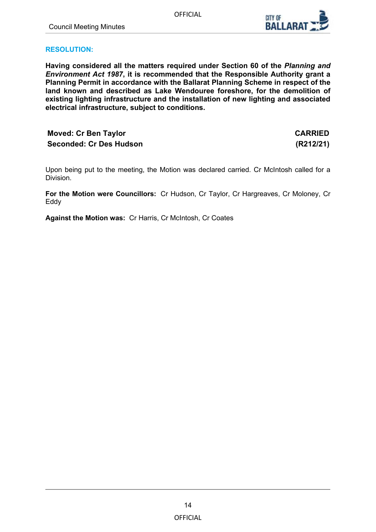

# **RESOLUTION:**

**Having considered all the matters required under Section 60 of the** *Planning and Environment Act 1987***, it is recommended that the Responsible Authority grant a Planning Permit in accordance with the Ballarat Planning Scheme in respect of the land known and described as Lake Wendouree foreshore, for the demolition of existing lighting infrastructure and the installation of new lighting and associated electrical infrastructure, subject to conditions.**

# **Moved: Cr Ben Taylor CARRIED Seconded: Cr Des Hudson (R212/21)**

Upon being put to the meeting, the Motion was declared carried. Cr McIntosh called for a Division.

**For the Motion were Councillors:** Cr Hudson, Cr Taylor, Cr Hargreaves, Cr Moloney, Cr Eddy

**Against the Motion was:** Cr Harris, Cr McIntosh, Cr Coates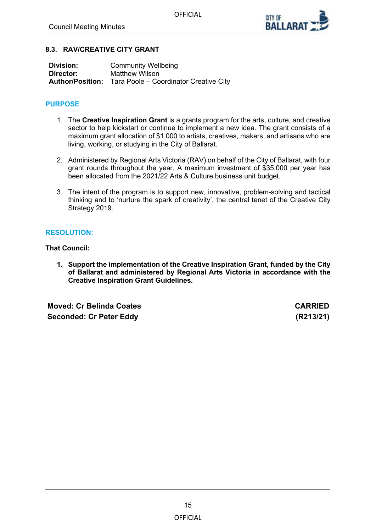

# <span id="page-14-0"></span>**8.3. RAV/CREATIVE CITY GRANT**

| Division: | <b>Community Wellbeing</b>                                     |
|-----------|----------------------------------------------------------------|
| Director: | Matthew Wilson                                                 |
|           | <b>Author/Position:</b> Tara Poole – Coordinator Creative City |

# **PURPOSE**

- 1. The **Creative Inspiration Grant** is a grants program for the arts, culture, and creative sector to help kickstart or continue to implement a new idea. The grant consists of a maximum grant allocation of \$1,000 to artists, creatives, makers, and artisans who are living, working, or studying in the City of Ballarat.
- 2. Administered by Regional Arts Victoria (RAV) on behalf of the City of Ballarat, with four grant rounds throughout the year. A maximum investment of \$35,000 per year has been allocated from the 2021/22 Arts & Culture business unit budget.
- 3. The intent of the program is to support new, innovative, problem-solving and tactical thinking and to 'nurture the spark of creativity', the central tenet of the Creative City Strategy 2019.

# **RESOLUTION:**

**That Council:**

**1. Support the implementation of the Creative Inspiration Grant, funded by the City of Ballarat and administered by Regional Arts Victoria in accordance with the Creative Inspiration Grant Guidelines.**

**Moved: Cr Belinda Coates CARRIED Seconded: Cr Peter Eddy (R213/21)**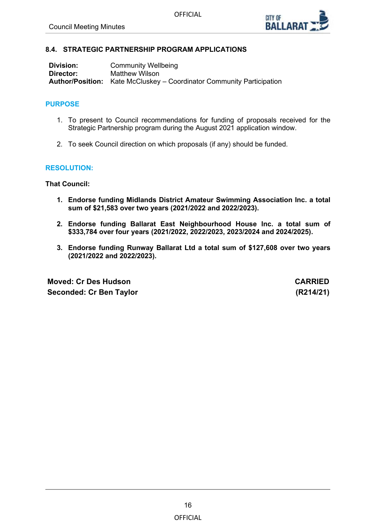

# <span id="page-15-0"></span>**8.4. STRATEGIC PARTNERSHIP PROGRAM APPLICATIONS**

| Division: | <b>Community Wellbeing</b>                                                   |
|-----------|------------------------------------------------------------------------------|
| Director: | Matthew Wilson                                                               |
|           | <b>Author/Position:</b> Kate McCluskey – Coordinator Community Participation |

# **PURPOSE**

- 1. To present to Council recommendations for funding of proposals received for the Strategic Partnership program during the August 2021 application window.
- 2. To seek Council direction on which proposals (if any) should be funded.

### **RESOLUTION:**

**That Council:**

- **1. Endorse funding Midlands District Amateur Swimming Association Inc. a total sum of \$21,583 over two years (2021/2022 and 2022/2023).**
- **2. Endorse funding Ballarat East Neighbourhood House Inc. a total sum of \$333,784 over four years (2021/2022, 2022/2023, 2023/2024 and 2024/2025).**
- **3. Endorse funding Runway Ballarat Ltd a total sum of \$127,608 over two years (2021/2022 and 2022/2023).**

**Moved: Cr Des Hudson CARRIED Seconded: Cr Ben Taylor (R214/21)**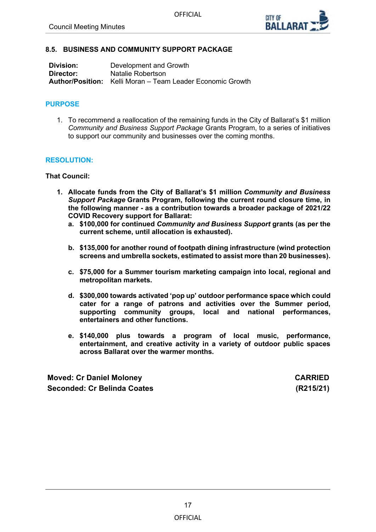

#### <span id="page-16-0"></span>**8.5. BUSINESS AND COMMUNITY SUPPORT PACKAGE**

| Division: | Development and Growth                                            |
|-----------|-------------------------------------------------------------------|
| Director: | Natalie Robertson                                                 |
|           | <b>Author/Position:</b> Kelli Moran – Team Leader Economic Growth |

### **PURPOSE**

1. To recommend a reallocation of the remaining funds in the City of Ballarat's \$1 million *Community and Business Support Package* Grants Program, to a series of initiatives to support our community and businesses over the coming months.

#### **RESOLUTION:**

#### **That Council:**

- **1. Allocate funds from the City of Ballarat's \$1 million** *Community and Business Support Package* **Grants Program, following the current round closure time, in the following manner - as a contribution towards a broader package of 2021/22 COVID Recovery support for Ballarat:**
	- **a. \$100,000 for continued** *Community and Business Support* **grants (as per the current scheme, until allocation is exhausted).**
	- **b. \$135,000 for another round of footpath dining infrastructure (wind protection screens and umbrella sockets, estimated to assist more than 20 businesses).**
	- **c. \$75,000 for a Summer tourism marketing campaign into local, regional and metropolitan markets.**
	- **d. \$300,000 towards activated 'pop up' outdoor performance space which could cater for a range of patrons and activities over the Summer period, supporting community groups, local and national performances, entertainers and other functions.**
	- **e. \$140,000 plus towards a program of local music, performance, entertainment, and creative activity in a variety of outdoor public spaces across Ballarat over the warmer months.**

**Moved: Cr Daniel Moloney CARRIED Seconded: Cr Belinda Coates (R215/21)**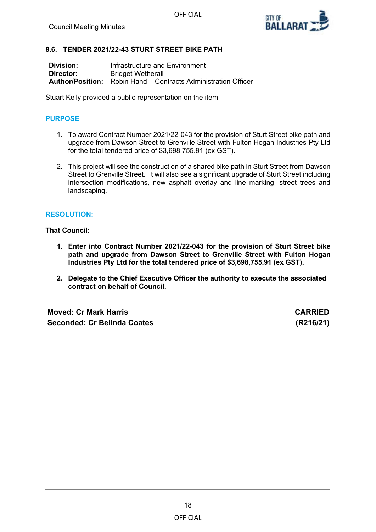

#### <span id="page-17-0"></span>**8.6. TENDER 2021/22-43 STURT STREET BIKE PATH**

| Division: | Infrastructure and Environment                                        |
|-----------|-----------------------------------------------------------------------|
| Director: | <b>Bridget Wetherall</b>                                              |
|           | <b>Author/Position:</b> Robin Hand – Contracts Administration Officer |

Stuart Kelly provided a public representation on the item.

# **PURPOSE**

- 1. To award Contract Number 2021/22-043 for the provision of Sturt Street bike path and upgrade from Dawson Street to Grenville Street with Fulton Hogan Industries Pty Ltd for the total tendered price of \$3,698,755.91 (ex GST).
- 2. This project will see the construction of a shared bike path in Sturt Street from Dawson Street to Grenville Street. It will also see a significant upgrade of Sturt Street including intersection modifications, new asphalt overlay and line marking, street trees and landscaping.

#### **RESOLUTION:**

#### **That Council:**

- **1. Enter into Contract Number 2021/22-043 for the provision of Sturt Street bike path and upgrade from Dawson Street to Grenville Street with Fulton Hogan Industries Pty Ltd for the total tendered price of \$3,698,755.91 (ex GST).**
- **2. Delegate to the Chief Executive Officer the authority to execute the associated contract on behalf of Council.**

**Moved: Cr Mark Harris CARRIED Seconded: Cr Belinda Coates (R216/21)**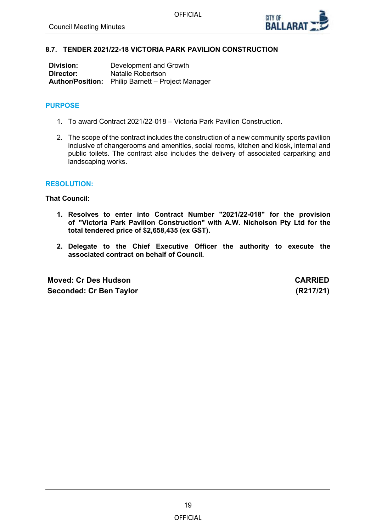

### <span id="page-18-0"></span>**8.7. TENDER 2021/22-18 VICTORIA PARK PAVILION CONSTRUCTION**

| Division: | Development and Growth                                   |
|-----------|----------------------------------------------------------|
| Director: | Natalie Robertson                                        |
|           | <b>Author/Position:</b> Philip Barnett – Project Manager |

# **PURPOSE**

- 1. To award Contract 2021/22-018 Victoria Park Pavilion Construction.
- 2. The scope of the contract includes the construction of a new community sports pavilion inclusive of changerooms and amenities, social rooms, kitchen and kiosk, internal and public toilets. The contract also includes the delivery of associated carparking and landscaping works.

#### **RESOLUTION:**

**That Council:**

- **1. Resolves to enter into Contract Number "2021/22-018" for the provision of "Victoria Park Pavilion Construction" with A.W. Nicholson Pty Ltd for the total tendered price of \$2,658,435 (ex GST).**
- **2. Delegate to the Chief Executive Officer the authority to execute the associated contract on behalf of Council.**

**Moved: Cr Des Hudson CARRIED Seconded: Cr Ben Taylor (R217/21)**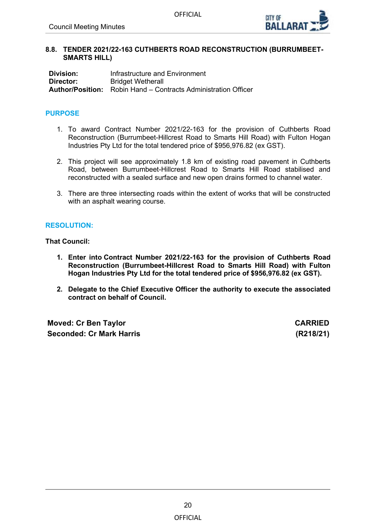

#### <span id="page-19-0"></span>**8.8. TENDER 2021/22-163 CUTHBERTS ROAD RECONSTRUCTION (BURRUMBEET-SMARTS HILL)**

**Division:** Infrastructure and Environment<br> **Director:** Rridget Wetherall **Bridget Wetherall Author/Position:** Robin Hand – Contracts Administration Officer

# **PURPOSE**

- 1. To award Contract Number 2021/22-163 for the provision of Cuthberts Road Reconstruction (Burrumbeet-Hillcrest Road to Smarts Hill Road) with Fulton Hogan Industries Pty Ltd for the total tendered price of \$956,976.82 (ex GST).
- 2. This project will see approximately 1.8 km of existing road pavement in Cuthberts Road, between Burrumbeet-Hillcrest Road to Smarts Hill Road stabilised and reconstructed with a sealed surface and new open drains formed to channel water.
- 3. There are three intersecting roads within the extent of works that will be constructed with an asphalt wearing course.

# **RESOLUTION:**

**That Council:**

- **1. Enter into Contract Number 2021/22-163 for the provision of Cuthberts Road Reconstruction (Burrumbeet-Hillcrest Road to Smarts Hill Road) with Fulton Hogan Industries Pty Ltd for the total tendered price of \$956,976.82 (ex GST).**
- **2. Delegate to the Chief Executive Officer the authority to execute the associated contract on behalf of Council.**

**Moved: Cr Ben Taylor CARRIED Seconded: Cr Mark Harris (R218/21)**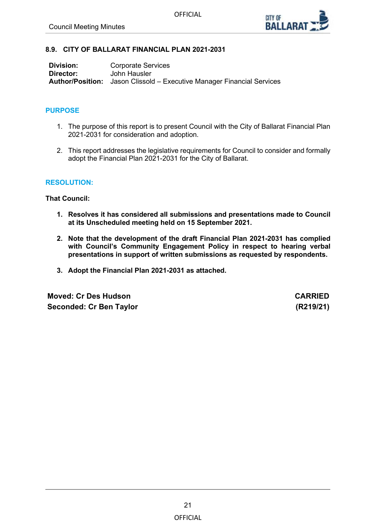

### <span id="page-20-0"></span>**8.9. CITY OF BALLARAT FINANCIAL PLAN 2021-2031**

| Division: | <b>Corporate Services</b>                                                     |
|-----------|-------------------------------------------------------------------------------|
| Director: | John Hausler                                                                  |
|           | <b>Author/Position:</b> Jason Clissold – Executive Manager Financial Services |

#### **PURPOSE**

- 1. The purpose of this report is to present Council with the City of Ballarat Financial Plan 2021-2031 for consideration and adoption.
- 2. This report addresses the legislative requirements for Council to consider and formally adopt the Financial Plan 2021-2031 for the City of Ballarat.

#### **RESOLUTION:**

**That Council:**

- **1. Resolves it has considered all submissions and presentations made to Council at its Unscheduled meeting held on 15 September 2021.**
- **2. Note that the development of the draft Financial Plan 2021-2031 has complied with Council's Community Engagement Policy in respect to hearing verbal presentations in support of written submissions as requested by respondents.**
- **3. Adopt the Financial Plan 2021-2031 as attached.**

**Moved: Cr Des Hudson CARRIED Seconded: Cr Ben Taylor (R219/21)**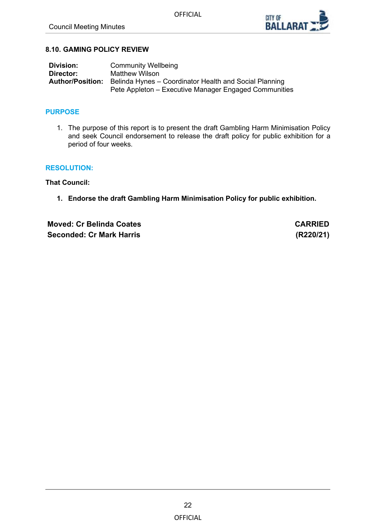

### <span id="page-21-0"></span>**8.10. GAMING POLICY REVIEW**

| <b>Division:</b>        | <b>Community Wellbeing</b>                             |
|-------------------------|--------------------------------------------------------|
| Director:               | Matthew Wilson                                         |
| <b>Author/Position:</b> | Belinda Hynes - Coordinator Health and Social Planning |
|                         | Pete Appleton – Executive Manager Engaged Communities  |

### **PURPOSE**

1. The purpose of this report is to present the draft Gambling Harm Minimisation Policy and seek Council endorsement to release the draft policy for public exhibition for a period of four weeks.

#### **RESOLUTION:**

**That Council:**

**1. Endorse the draft Gambling Harm Minimisation Policy for public exhibition.**

**Moved: Cr Belinda Coates CARRIED Seconded: Cr Mark Harris (R220/21)**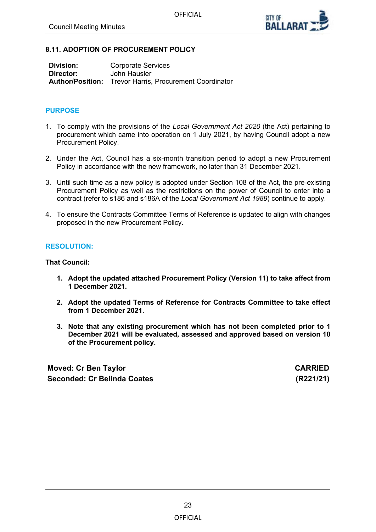

#### <span id="page-22-0"></span>**8.11. ADOPTION OF PROCUREMENT POLICY**

| Division: | <b>Corporate Services</b>                                      |
|-----------|----------------------------------------------------------------|
| Director: | John Hausler                                                   |
|           | <b>Author/Position:</b> Trevor Harris, Procurement Coordinator |

#### **PURPOSE**

- 1. To comply with the provisions of the *Local Government Act 2020* (the Act) pertaining to procurement which came into operation on 1 July 2021, by having Council adopt a new Procurement Policy.
- 2. Under the Act, Council has a six-month transition period to adopt a new Procurement Policy in accordance with the new framework, no later than 31 December 2021.
- 3. Until such time as a new policy is adopted under Section 108 of the Act, the pre-existing Procurement Policy as well as the restrictions on the power of Council to enter into a contract (refer to s186 and s186A of the *Local Government Act 1989*) continue to apply.
- 4. To ensure the Contracts Committee Terms of Reference is updated to align with changes proposed in the new Procurement Policy.

#### **RESOLUTION:**

# **That Council:**

- **1. Adopt the updated attached Procurement Policy (Version 11) to take affect from 1 December 2021.**
- **2. Adopt the updated Terms of Reference for Contracts Committee to take effect from 1 December 2021.**
- **3. Note that any existing procurement which has not been completed prior to 1 December 2021 will be evaluated, assessed and approved based on version 10 of the Procurement policy.**

**Moved: Cr Ben Taylor CARRIED Seconded: Cr Belinda Coates (R221/21)**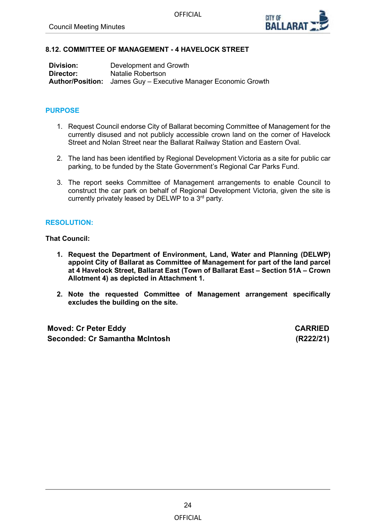

# <span id="page-23-0"></span>**8.12. COMMITTEE OF MANAGEMENT - 4 HAVELOCK STREET**

| <b>Division:</b> | Development and Growth                                                |
|------------------|-----------------------------------------------------------------------|
| Director:        | Natalie Robertson                                                     |
|                  | <b>Author/Position:</b> James Guy – Executive Manager Economic Growth |

### **PURPOSE**

- 1. Request Council endorse City of Ballarat becoming Committee of Management for the currently disused and not publicly accessible crown land on the corner of Havelock Street and Nolan Street near the Ballarat Railway Station and Eastern Oval.
- 2. The land has been identified by Regional Development Victoria as a site for public car parking, to be funded by the State Government's Regional Car Parks Fund.
- 3. The report seeks Committee of Management arrangements to enable Council to construct the car park on behalf of Regional Development Victoria, given the site is currently privately leased by DELWP to a 3rd party.

# **RESOLUTION:**

**That Council:**

- **1. Request the Department of Environment, Land, Water and Planning (DELWP) appoint City of Ballarat as Committee of Management for part of the land parcel at 4 Havelock Street, Ballarat East (Town of Ballarat East – Section 51A – Crown Allotment 4) as depicted in Attachment 1.**
- **2. Note the requested Committee of Management arrangement specifically excludes the building on the site.**

| <b>Moved: Cr Peter Eddy</b>    | <b>CARRIED</b> |
|--------------------------------|----------------|
| Seconded: Cr Samantha McIntosh | (R222/21)      |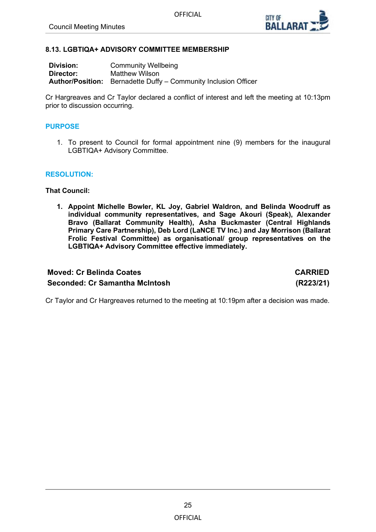

#### <span id="page-24-0"></span>**8.13. LGBTIQA+ ADVISORY COMMITTEE MEMBERSHIP**

| <b>Division:</b> | <b>Community Wellbeing</b>                                             |
|------------------|------------------------------------------------------------------------|
| Director:        | Matthew Wilson                                                         |
|                  | <b>Author/Position:</b> Bernadette Duffy – Community Inclusion Officer |

Cr Hargreaves and Cr Taylor declared a conflict of interest and left the meeting at 10:13pm prior to discussion occurring.

#### **PURPOSE**

1. To present to Council for formal appointment nine (9) members for the inaugural LGBTIQA+ Advisory Committee.

#### **RESOLUTION:**

**That Council:**

**1. Appoint Michelle Bowler, KL Joy, Gabriel Waldron, and Belinda Woodruff as individual community representatives, and Sage Akouri (Speak), Alexander Bravo (Ballarat Community Health), Asha Buckmaster (Central Highlands Primary Care Partnership), Deb Lord (LaNCE TV Inc.) and Jay Morrison (Ballarat Frolic Festival Committee) as organisational/ group representatives on the LGBTIQA+ Advisory Committee effective immediately.**

# **Moved: Cr Belinda Coates CARRIED Seconded: Cr Samantha McIntosh (R223/21)**

Cr Taylor and Cr Hargreaves returned to the meeting at 10:19pm after a decision was made.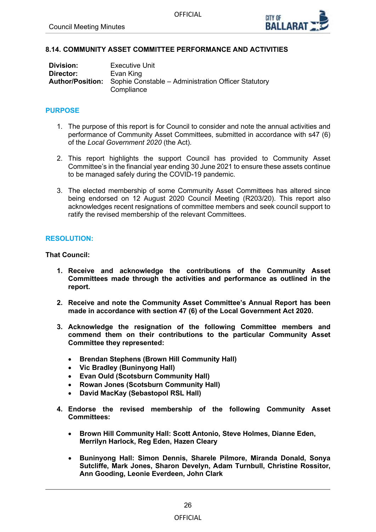

### <span id="page-25-0"></span>**8.14. COMMUNITY ASSET COMMITTEE PERFORMANCE AND ACTIVITIES**

| Division: | <b>Executive Unit</b>                                                       |
|-----------|-----------------------------------------------------------------------------|
| Director: | Evan King                                                                   |
|           | <b>Author/Position:</b> Sophie Constable – Administration Officer Statutory |
|           | Compliance                                                                  |

#### **PURPOSE**

- 1. The purpose of this report is for Council to consider and note the annual activities and performance of Community Asset Committees, submitted in accordance with s47 (6) of the *Local Government 2020* (the Act)*.*
- 2. This report highlights the support Council has provided to Community Asset Committee's in the financial year ending 30 June 2021 to ensure these assets continue to be managed safely during the COVID-19 pandemic.
- 3. The elected membership of some Community Asset Committees has altered since being endorsed on 12 August 2020 Council Meeting (R203/20). This report also acknowledges recent resignations of committee members and seek council support to ratify the revised membership of the relevant Committees.

#### **RESOLUTION:**

**That Council:**

- **1. Receive and acknowledge the contributions of the Community Asset Committees made through the activities and performance as outlined in the report.**
- **2. Receive and note the Community Asset Committee's Annual Report has been made in accordance with section 47 (6) of the Local Government Act 2020.**
- **3. Acknowledge the resignation of the following Committee members and commend them on their contributions to the particular Community Asset Committee they represented:**
	- **Brendan Stephens (Brown Hill Community Hall)**
	- **Vic Bradley (Buninyong Hall)**
	- **Evan Ould (Scotsburn Community Hall)**
	- **Rowan Jones (Scotsburn Community Hall)**
	- **David MacKay (Sebastopol RSL Hall)**
- **4. Endorse the revised membership of the following Community Asset Committees:**
	- **Brown Hill Community Hall: Scott Antonio, Steve Holmes, Dianne Eden, Merrilyn Harlock, Reg Eden, Hazen Cleary**
	- **Buninyong Hall: Simon Dennis, Sharele Pilmore, Miranda Donald, Sonya Sutcliffe, Mark Jones, Sharon Develyn, Adam Turnbull, Christine Rossitor, Ann Gooding, Leonie Everdeen, John Clark**

# **OFFICIAL**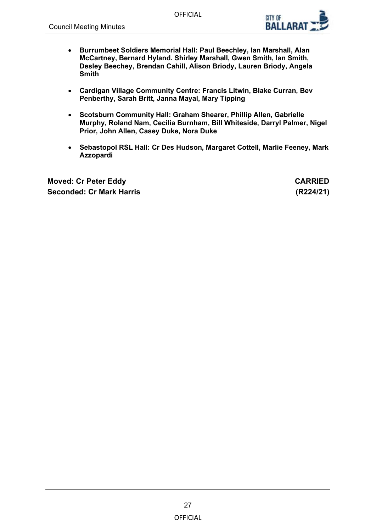

- **Burrumbeet Soldiers Memorial Hall: Paul Beechley, Ian Marshall, Alan McCartney, Bernard Hyland. Shirley Marshall, Gwen Smith, Ian Smith, Desley Beechey, Brendan Cahill, Alison Briody, Lauren Briody, Angela Smith**
- **Cardigan Village Community Centre: Francis Litwin, Blake Curran, Bev Penberthy, Sarah Britt, Janna Mayal, Mary Tipping**
- **Scotsburn Community Hall: Graham Shearer, Phillip Allen, Gabrielle Murphy, Roland Nam, Cecilia Burnham, Bill Whiteside, Darryl Palmer, Nigel Prior, John Allen, Casey Duke, Nora Duke**
- **Sebastopol RSL Hall: Cr Des Hudson, Margaret Cottell, Marlie Feeney, Mark Azzopardi**

**Moved: Cr Peter Eddy CARRIED Seconded: Cr Mark Harris (R224/21)**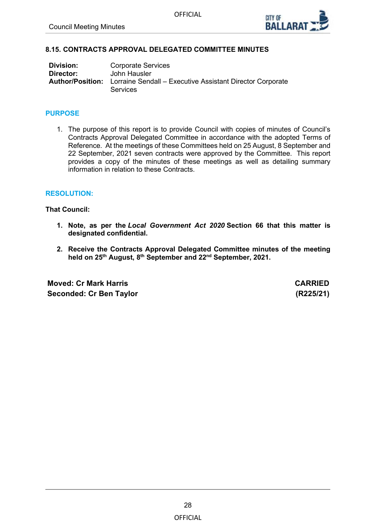

#### <span id="page-27-0"></span>**8.15. CONTRACTS APPROVAL DELEGATED COMMITTEE MINUTES**

| Division: | <b>Corporate Services</b>                                                                            |
|-----------|------------------------------------------------------------------------------------------------------|
| Director: | John Hausler                                                                                         |
|           | <b>Author/Position:</b> Lorraine Sendall – Executive Assistant Director Corporate<br><b>Services</b> |

#### **PURPOSE**

1. The purpose of this report is to provide Council with copies of minutes of Council's Contracts Approval Delegated Committee in accordance with the adopted Terms of Reference. At the meetings of these Committees held on 25 August, 8 September and 22 September, 2021 seven contracts were approved by the Committee. This report provides a copy of the minutes of these meetings as well as detailing summary information in relation to these Contracts.

#### **RESOLUTION:**

**That Council:**

- **1. Note, as per the** *Local Government Act 2020* **Section 66 that this matter is designated confidential.**
- **2. Receive the Contracts Approval Delegated Committee minutes of the meeting held on 25th August, 8th September and 22nd September, 2021.**

**Moved: Cr Mark Harris CARRIED Seconded: Cr Ben Taylor (R225/21)**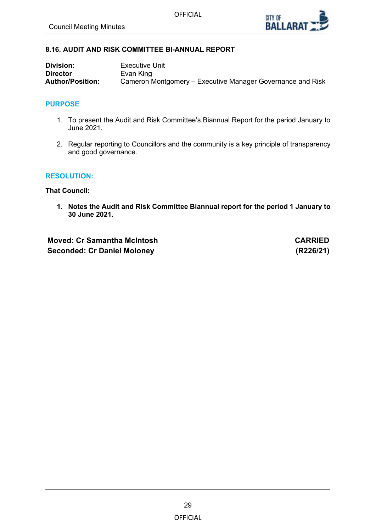

# <span id="page-28-0"></span>**8.16. AUDIT AND RISK COMMITTEE BI-ANNUAL REPORT**

| <b>Division:</b>        | Executive Unit                                             |
|-------------------------|------------------------------------------------------------|
| <b>Director</b>         | Evan King                                                  |
| <b>Author/Position:</b> | Cameron Montgomery – Executive Manager Governance and Risk |

# **PURPOSE**

- 1. To present the Audit and Risk Committee's Biannual Report for the period January to June 2021.
- 2. Regular reporting to Councillors and the community is a key principle of transparency and good governance.

#### **RESOLUTION:**

**That Council:**

**1. Notes the Audit and Risk Committee Biannual report for the period 1 January to 30 June 2021.**

**Moved: Cr Samantha McIntosh CARRIED Seconded: Cr Daniel Moloney (R226/21)**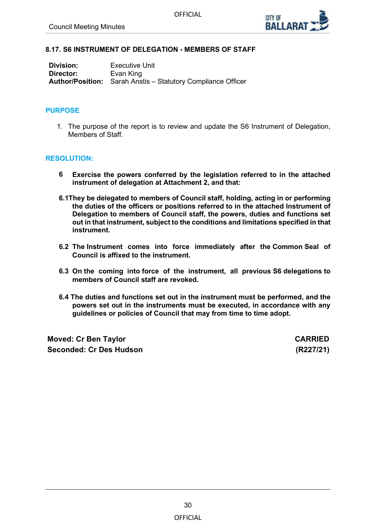

#### <span id="page-29-0"></span>**8.17. S6 INSTRUMENT OF DELEGATION - MEMBERS OF STAFF**

| Division: | <b>Executive Unit</b>                                               |
|-----------|---------------------------------------------------------------------|
| Director: | Evan King                                                           |
|           | <b>Author/Position:</b> Sarah Anstis – Statutory Compliance Officer |

#### **PURPOSE**

1. The purpose of the report is to review and update the S6 Instrument of Delegation, Members of Staff.

#### **RESOLUTION:**

- **6 Exercise the powers conferred by the legislation referred to in the attached instrument of delegation at Attachment 2, and that:**
- **6.1They be delegated to members of Council staff, holding, acting in or performing the duties of the officers or positions referred to in the attached Instrument of Delegation to members of Council staff, the powers, duties and functions set out in that instrument, subject to the conditions and limitations specified in that instrument.**
- **6.2 The Instrument comes into force immediately after the Common Seal of Council is affixed to the instrument.**
- **6.3 On the coming into force of the instrument, all previous S6 delegations to members of Council staff are revoked.**
- **6.4 The duties and functions set out in the instrument must be performed, and the powers set out in the instruments must be executed, in accordance with any guidelines or policies of Council that may from time to time adopt.**

**Moved: Cr Ben Taylor CARRIED Seconded: Cr Des Hudson (R227/21)**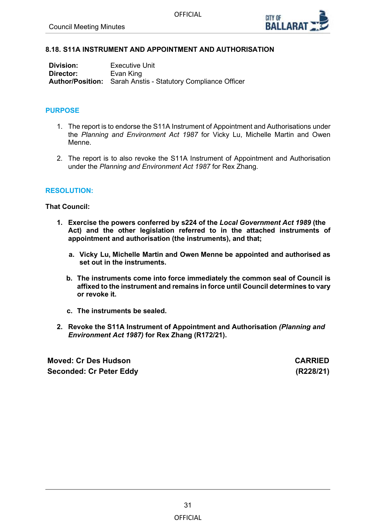

# <span id="page-30-0"></span>**8.18. S11A INSTRUMENT AND APPOINTMENT AND AUTHORISATION**

| Division: | <b>Executive Unit</b>                                               |
|-----------|---------------------------------------------------------------------|
| Director: | Evan King                                                           |
|           | <b>Author/Position:</b> Sarah Anstis - Statutory Compliance Officer |

#### **PURPOSE**

- 1. The report is to endorse the S11A Instrument of Appointment and Authorisations under the *Planning and Environment Act 1987* for Vicky Lu, Michelle Martin and Owen Menne.
- 2. The report is to also revoke the S11A Instrument of Appointment and Authorisation under the *Planning and Environment Act 1987* for Rex Zhang.

#### **RESOLUTION:**

#### **That Council:**

- **1. Exercise the powers conferred by s224 of the** *Local Government Act 1989* **(the Act) and the other legislation referred to in the attached instruments of appointment and authorisation (the instruments), and that;**
	- **a. Vicky Lu, Michelle Martin and Owen Menne be appointed and authorised as set out in the instruments.**
	- **b. The instruments come into force immediately the common seal of Council is affixed to the instrument and remains in force until Council determines to vary or revoke it.**
	- **c. The instruments be sealed.**
- **2. Revoke the S11A Instrument of Appointment and Authorisation** *(Planning and Environment Act 1987)* **for Rex Zhang (R172/21).**

**Moved: Cr Des Hudson CARRIED Seconded: Cr Peter Eddy (R228/21)**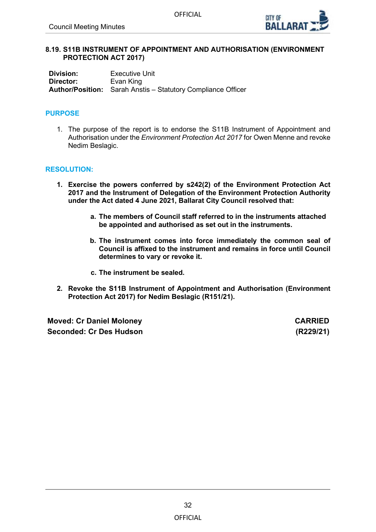

#### <span id="page-31-0"></span>**8.19. S11B INSTRUMENT OF APPOINTMENT AND AUTHORISATION (ENVIRONMENT PROTECTION ACT 2017)**

**Division:** Executive Unit<br> **Director:** Evan King **Evan King Author/Position:** Sarah Anstis – Statutory Compliance Officer

### **PURPOSE**

1. The purpose of the report is to endorse the S11B Instrument of Appointment and Authorisation under the *Environment Protection Act 2017* for Owen Menne and revoke Nedim Beslagic.

#### **RESOLUTION:**

- **1. Exercise the powers conferred by s242(2) of the Environment Protection Act 2017 and the Instrument of Delegation of the Environment Protection Authority under the Act dated 4 June 2021, Ballarat City Council resolved that:**
	- **a. The members of Council staff referred to in the instruments attached be appointed and authorised as set out in the instruments.**
	- **b. The instrument comes into force immediately the common seal of Council is affixed to the instrument and remains in force until Council determines to vary or revoke it.**
	- **c. The instrument be sealed.**
- **2. Revoke the S11B Instrument of Appointment and Authorisation (Environment Protection Act 2017) for Nedim Beslagic (R151/21).**

**Moved: Cr Daniel Moloney CARRIED Seconded: Cr Des Hudson (R229/21)**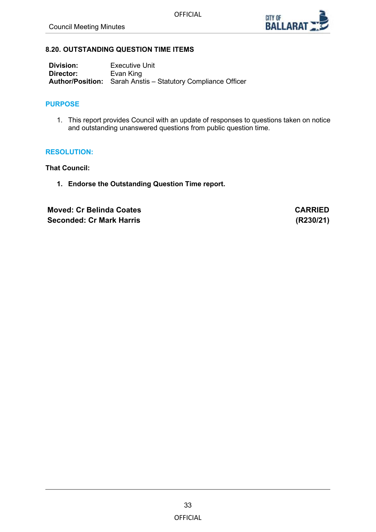

# <span id="page-32-0"></span>**8.20. OUTSTANDING QUESTION TIME ITEMS**

| Division: | Executive Unit                                                      |
|-----------|---------------------------------------------------------------------|
| Director: | Evan King                                                           |
|           | <b>Author/Position:</b> Sarah Anstis – Statutory Compliance Officer |

# **PURPOSE**

1. This report provides Council with an update of responses to questions taken on notice and outstanding unanswered questions from public question time.

### **RESOLUTION:**

**That Council:**

**1. Endorse the Outstanding Question Time report.**

**Moved: Cr Belinda Coates CARRIED Seconded: Cr Mark Harris (R230/21)**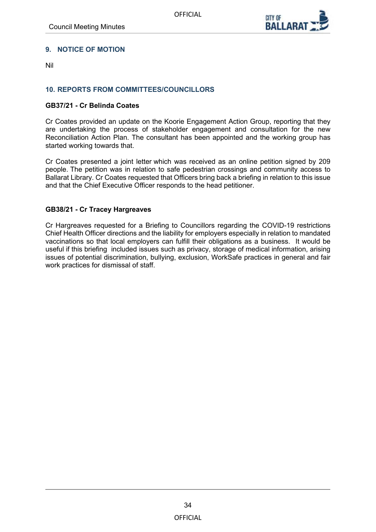

# <span id="page-33-0"></span>**9. NOTICE OF MOTION**

Nil

# **10. REPORTS FROM COMMITTEES/COUNCILLORS**

#### **GB37/21 - Cr Belinda Coates**

Cr Coates provided an update on the Koorie Engagement Action Group, reporting that they are undertaking the process of stakeholder engagement and consultation for the new Reconciliation Action Plan. The consultant has been appointed and the working group has started working towards that.

Cr Coates presented a joint letter which was received as an online petition signed by 209 people. The petition was in relation to safe pedestrian crossings and community access to Ballarat Library. Cr Coates requested that Officers bring back a briefing in relation to this issue and that the Chief Executive Officer responds to the head petitioner.

### **GB38/21 - Cr Tracey Hargreaves**

Cr Hargreaves requested for a Briefing to Councillors regarding the COVID-19 restrictions Chief Health Officer directions and the liability for employers especially in relation to mandated vaccinations so that local employers can fulfill their obligations as a business. It would be useful if this briefing included issues such as privacy, storage of medical information, arising issues of potential discrimination, bullying, exclusion, WorkSafe practices in general and fair work practices for dismissal of staff.